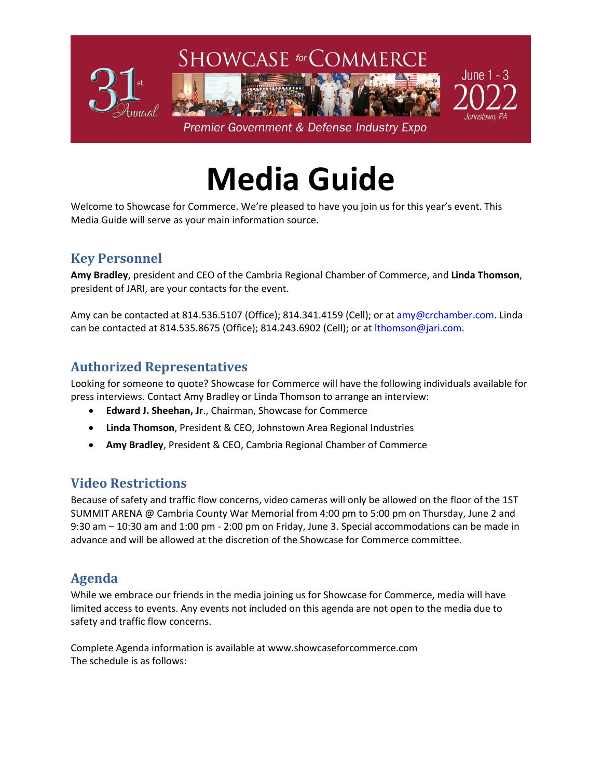

# **Media Guide**

Welcome to Showcase for Commerce. We're pleased to have you join us for this year's event. This Media Guide will serve as your main information source.

## **Key Personnel**

**Amy Bradley**, president and CEO of the Cambria Regional Chamber of Commerce, and **Linda Thomson**, president of JARI, are your contacts for the event.

Amy can be contacted at 814.536.5107 (Office); 814.341.4159 (Cell); or at amy@crchamber.com. Linda can be contacted at 814.535.8675 (Office); 814.243.6902 (Cell); or at lthomson@jari.com.

## **Authorized Representatives**

Looking for someone to quote? Showcase for Commerce will have the following individuals available for press interviews. Contact Amy Bradley or Linda Thomson to arrange an interview:

- **Edward J. Sheehan, Jr**., Chairman, Showcase for Commerce
- **Linda Thomson**, President & CEO, Johnstown Area Regional Industries
- **Amy Bradley**, President & CEO, Cambria Regional Chamber of Commerce

## **Video Restrictions**

Because of safety and traffic flow concerns, video cameras will only be allowed on the floor of the 1ST SUMMIT ARENA @ Cambria County War Memorial from 4:00 pm to 5:00 pm on Thursday, June 2 and 9:30 am – 10:30 am and 1:00 pm - 2:00 pm on Friday, June 3. Special accommodations can be made in advance and will be allowed at the discretion of the Showcase for Commerce committee.

## **Agenda**

While we embrace our friends in the media joining us for Showcase for Commerce, media will have limited access to events. Any events not included on this agenda are not open to the media due to safety and traffic flow concerns.

Complete Agenda information is available at www.showcaseforcommerce.com The schedule is as follows: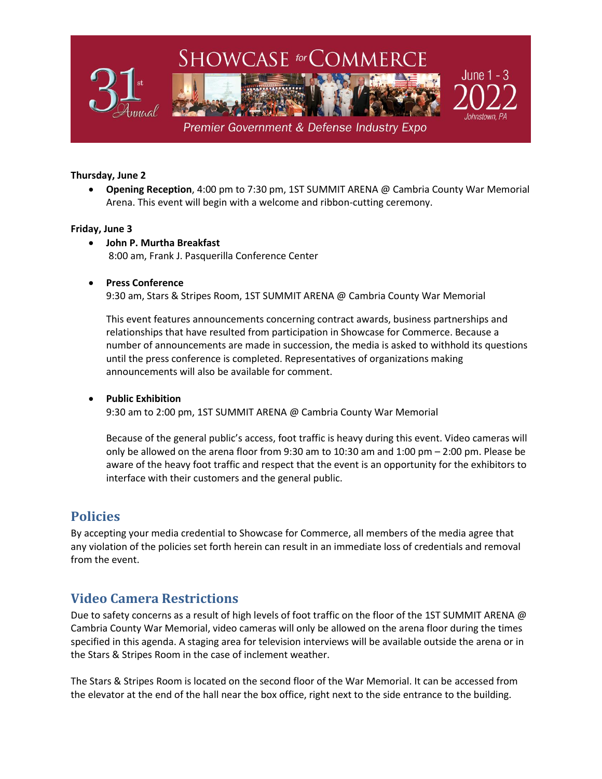

#### **Thursday, June 2**

• **Opening Reception**, 4:00 pm to 7:30 pm, 1ST SUMMIT ARENA @ Cambria County War Memorial Arena. This event will begin with a welcome and ribbon-cutting ceremony.

#### **Friday, June 3**

• **John P. Murtha Breakfast** 8:00 am, Frank J. Pasquerilla Conference Center

#### • **Press Conference**

9:30 am, Stars & Stripes Room, 1ST SUMMIT ARENA @ Cambria County War Memorial

This event features announcements concerning contract awards, business partnerships and relationships that have resulted from participation in Showcase for Commerce. Because a number of announcements are made in succession, the media is asked to withhold its questions until the press conference is completed. Representatives of organizations making announcements will also be available for comment.

#### • **Public Exhibition**

9:30 am to 2:00 pm, 1ST SUMMIT ARENA @ Cambria County War Memorial

Because of the general public's access, foot traffic is heavy during this event. Video cameras will only be allowed on the arena floor from 9:30 am to 10:30 am and 1:00 pm – 2:00 pm. Please be aware of the heavy foot traffic and respect that the event is an opportunity for the exhibitors to interface with their customers and the general public.

## **Policies**

By accepting your media credential to Showcase for Commerce, all members of the media agree that any violation of the policies set forth herein can result in an immediate loss of credentials and removal from the event.

## **Video Camera Restrictions**

Due to safety concerns as a result of high levels of foot traffic on the floor of the 1ST SUMMIT ARENA @ Cambria County War Memorial, video cameras will only be allowed on the arena floor during the times specified in this agenda. A staging area for television interviews will be available outside the arena or in the Stars & Stripes Room in the case of inclement weather.

The Stars & Stripes Room is located on the second floor of the War Memorial. It can be accessed from the elevator at the end of the hall near the box office, right next to the side entrance to the building.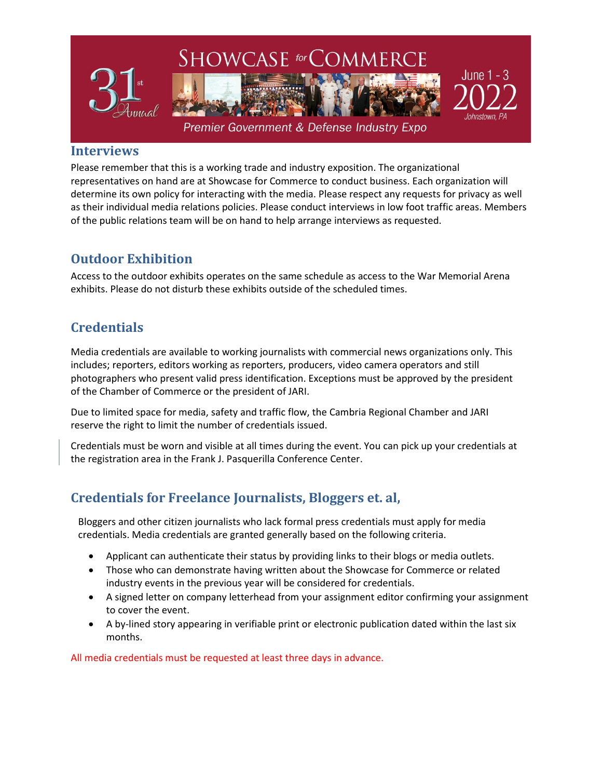

### **Interviews**

Please remember that this is a working trade and industry exposition. The organizational representatives on hand are at Showcase for Commerce to conduct business. Each organization will determine its own policy for interacting with the media. Please respect any requests for privacy as well as their individual media relations policies. Please conduct interviews in low foot traffic areas. Members of the public relations team will be on hand to help arrange interviews as requested.

## **Outdoor Exhibition**

Access to the outdoor exhibits operates on the same schedule as access to the War Memorial Arena exhibits. Please do not disturb these exhibits outside of the scheduled times.

## **Credentials**

Media credentials are available to working journalists with commercial news organizations only. This includes; reporters, editors working as reporters, producers, video camera operators and still photographers who present valid press identification. Exceptions must be approved by the president of the Chamber of Commerce or the president of JARI.

Due to limited space for media, safety and traffic flow, the Cambria Regional Chamber and JARI reserve the right to limit the number of credentials issued.

Credentials must be worn and visible at all times during the event. You can pick up your credentials at the registration area in the Frank J. Pasquerilla Conference Center.

## **Credentials for Freelance Journalists, Bloggers et. al,**

Bloggers and other citizen journalists who lack formal press credentials must apply for media credentials. Media credentials are granted generally based on the following criteria.

- Applicant can authenticate their status by providing links to their blogs or media outlets.
- Those who can demonstrate having written about the Showcase for Commerce or related industry events in the previous year will be considered for credentials.
- A signed letter on company letterhead from your assignment editor confirming your assignment to cover the event.
- A by-lined story appearing in verifiable print or electronic publication dated within the last six months.

All media credentials must be requested at least three days in advance.